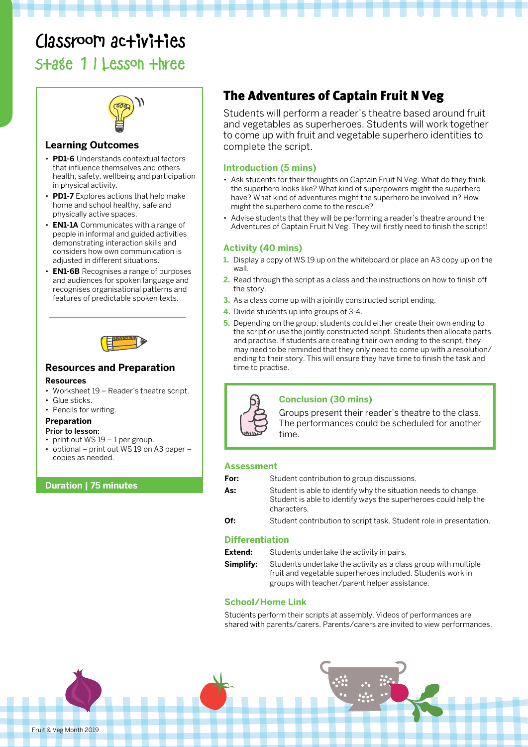# Classroom activities

Stage 1 | Lesson three



#### **Learning Outcomes**

- **PD1-6** Understands contextual factors that influence themselves and others health, safety, wellbeing and participation in physical activity.
- **PD1-7** Explores actions that help make home and school healthy, safe and physically active spaces.
- **EN1-1A** Communicates with a range of people in informal and guided activities demonstrating interaction skills and considers how own communication is adjusted in different situations.
- **EN1-6B** Recognises a range of purposes and audiences for spoken language and recognises organisational patterns and features of predictable spoken texts.



#### **Resources and Preparation**

#### **Resources**

- Worksheet 19 Reader's theatre script.
- Glue sticks.
- Pencils for writing.

#### **Preparation**

- Prior to lesson:
- print out  $WS 19 1$  per group.
- optional print out WS 19 on A3 paper copies as needed.

#### **Duration | 75 minutes**

### The Adventures of Captain Fruit N Veg

Students will perform a reader's theatre based around fruit and vegetables as superheroes. Students will work together to come up with fruit and vegetable superhero identities to complete the script.

#### **Introduction (5 mins)**

- Ask students for their thoughts on Captain Fruit N Veg. What do they think the superhero looks like? What kind of superpowers might the superhero have? What kind of adventures might the superhero be involved in? How might the superhero come to the rescue?
- Advise students that they will be performing a reader's theatre around the Adventures of Captain Fruit N Veg. They will firstly need to finish the script!

#### **Activity (40 mins)**

- **1.** Display a copy of WS 19 up on the whiteboard or place an A3 copy up on the wall.
- **2.** Read through the script as a class and the instructions on how to finish off the story.
- **3.** As a class come up with a jointly constructed script ending.
- **4.** Divide students up into groups of 3-4.
- **5.** Depending on the group, students could either create their own ending to the script or use the jointly constructed script. Students then allocate parts and practise. If students are creating their own ending to the script, they may need to be reminded that they only need to come up with a resolution/ ending to their story. This will ensure they have time to finish the task and time to practise.



#### **Conclusion (30 mins)**

Groups present their reader's theatre to the class. The performances could be scheduled for another time.

#### **Assessment**

| For:<br>Student contribution to group discussions. |  |
|----------------------------------------------------|--|
|----------------------------------------------------|--|

As: Student is able to identify why the situation needs to change. Student is able to identify ways the superheroes could help the characters.

**Of:** Student contribution to script task. Student role in presentation.

#### **Differentiation**

| Extend:   | Students undertake the activity in pairs.                                                                                    |
|-----------|------------------------------------------------------------------------------------------------------------------------------|
| Simplify: | Students undertake the activity as a class group with multiple<br>fruit and vegetable superheroes included. Students work in |
|           | groups with teacher/parent helper assistance.                                                                                |

#### **School/Home Link**

Students perform their scripts at assembly. Videos of performances are shared with parents/carers. Parents/carers are invited to view performances.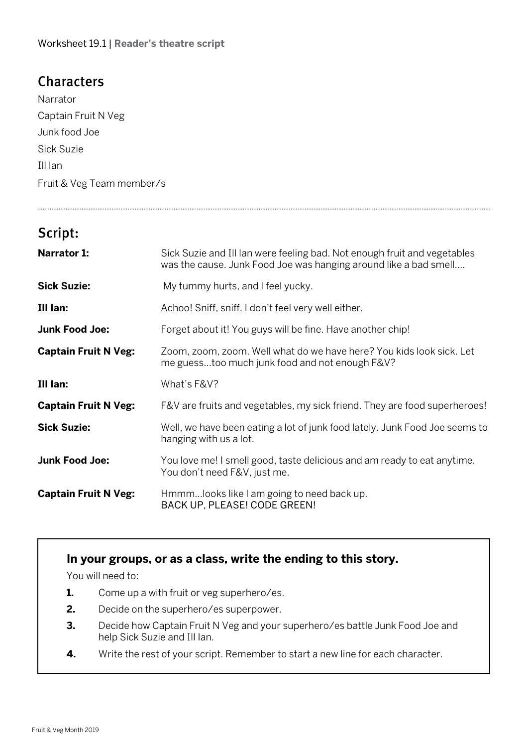## **Characters**

Narrator Captain Fruit N Veg Junk food Joe Sick Suzie Ill Ian Fruit & Veg Team member/s

## Script:

| <b>Narrator 1:</b>          | Sick Suzie and III Ian were feeling bad. Not enough fruit and vegetables<br>was the cause. Junk Food Joe was hanging around like a bad smell |
|-----------------------------|----------------------------------------------------------------------------------------------------------------------------------------------|
| <b>Sick Suzie:</b>          | My tummy hurts, and I feel yucky.                                                                                                            |
| Ill lan:                    | Achoo! Sniff, sniff. I don't feel very well either.                                                                                          |
| <b>Junk Food Joe:</b>       | Forget about it! You guys will be fine. Have another chip!                                                                                   |
| <b>Captain Fruit N Veg:</b> | Zoom, zoom, zoom. Well what do we have here? You kids look sick. Let<br>me guesstoo much junk food and not enough F&V?                       |
| Ill lan:                    | What's F&V?                                                                                                                                  |
| <b>Captain Fruit N Veg:</b> | F&V are fruits and vegetables, my sick friend. They are food superheroes!                                                                    |
| <b>Sick Suzie:</b>          | Well, we have been eating a lot of junk food lately. Junk Food Joe seems to<br>hanging with us a lot.                                        |
| <b>Junk Food Joe:</b>       | You love me! I smell good, taste delicious and am ready to eat anytime.<br>You don't need F&V, just me.                                      |
| <b>Captain Fruit N Veg:</b> | Hmmmlooks like I am going to need back up.<br>BACK UP, PLEASE! CODE GREEN!                                                                   |

### **In your groups, or as a class, write the ending to this story.**

You will need to:

- **1.** Come up a with fruit or veg superhero/es.
- **2.** Decide on the superhero/es superpower.
- **3.** Decide how Captain Fruit N Veg and your superhero/es battle Junk Food Joe and help Sick Suzie and Ill Ian.
- **4.** Write the rest of your script. Remember to start a new line for each character.